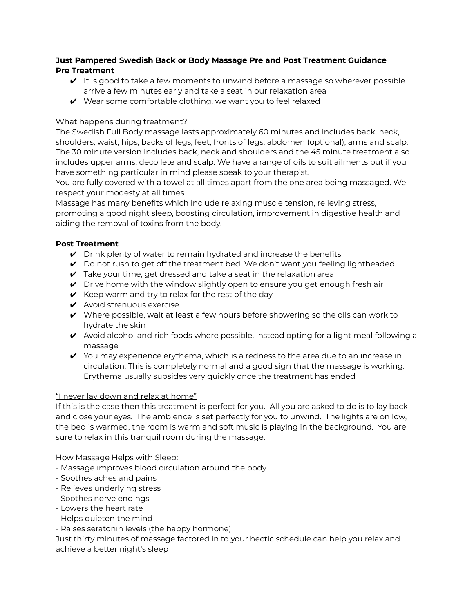# **Just Pampered Swedish Back or Body Massage Pre and Post Treatment Guidance Pre Treatment**

- $\vee$  It is good to take a few moments to unwind before a massage so wherever possible arrive a few minutes early and take a seat in our relaxation area
- $\vee$  Wear some comfortable clothing, we want you to feel relaxed

# What happens during treatment?

The Swedish Full Body massage lasts approximately 60 minutes and includes back, neck, shoulders, waist, hips, backs of legs, feet, fronts of legs, abdomen (optional), arms and scalp. The 30 minute version includes back, neck and shoulders and the 45 minute treatment also includes upper arms, decollete and scalp. We have a range of oils to suit ailments but if you have something particular in mind please speak to your therapist.

You are fully covered with a towel at all times apart from the one area being massaged. We respect your modesty at all times

Massage has many benefits which include relaxing muscle tension, relieving stress, promoting a good night sleep, boosting circulation, improvement in digestive health and aiding the removal of toxins from the body.

## **Post Treatment**

- $\vee$  Drink plenty of water to remain hydrated and increase the benefits
- ✔ Do not rush to get off the treatment bed. We don't want you feeling lightheaded.
- $\vee$  Take your time, get dressed and take a seat in the relaxation area
- $\vee$  Drive home with the window slightly open to ensure you get enough fresh air
- $\vee$  Keep warm and try to relax for the rest of the day
- $\boldsymbol{\nu}$  Avoid strenuous exercise
- $\vee$  Where possible, wait at least a few hours before showering so the oils can work to hydrate the skin
- $\triangledown$  Avoid alcohol and rich foods where possible, instead opting for a light meal following a massage
- $\vee$  You may experience erythema, which is a redness to the area due to an increase in circulation. This is completely normal and a good sign that the massage is working. Erythema usually subsides very quickly once the treatment has ended

## "I never lay down and relax at home"

If this is the case then this treatment is perfect for you. All you are asked to do is to lay back and close your eyes. The ambience is set perfectly for you to unwind. The lights are on low, the bed is warmed, the room is warm and soft music is playing in the background. You are sure to relax in this tranquil room during the massage.

#### How Massage Helps with Sleep:

- Massage improves blood circulation around the body
- Soothes aches and pains
- Relieves underlying stress
- Soothes nerve endings
- Lowers the heart rate
- Helps quieten the mind
- Raises seratonin levels (the happy hormone)

Just thirty minutes of massage factored in to your hectic schedule can help you relax and achieve a better night's sleep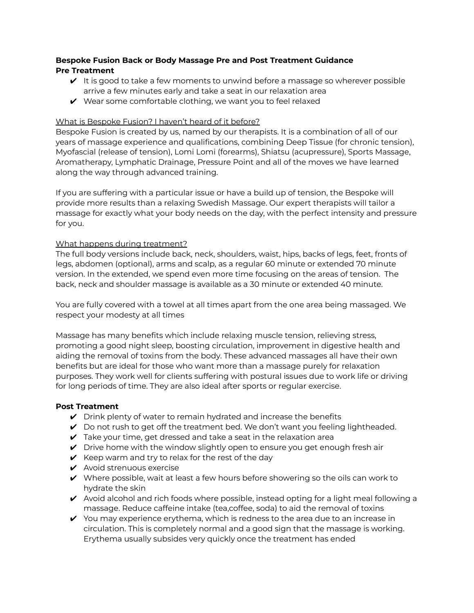# **Bespoke Fusion Back or Body Massage Pre and Post Treatment Guidance Pre Treatment**

- $\vee$  It is good to take a few moments to unwind before a massage so wherever possible arrive a few minutes early and take a seat in our relaxation area
- $\vee$  Wear some comfortable clothing, we want you to feel relaxed

### What is Bespoke Fusion? I haven't heard of it before?

Bespoke Fusion is created by us, named by our therapists. It is a combination of all of our years of massage experience and qualifications, combining Deep Tissue (for chronic tension), Myofascial (release of tension), Lomi Lomi (forearms), Shiatsu (acupressure), Sports Massage, Aromatherapy, Lymphatic Drainage, Pressure Point and all of the moves we have learned along the way through advanced training.

If you are suffering with a particular issue or have a build up of tension, the Bespoke will provide more results than a relaxing Swedish Massage. Our expert therapists will tailor a massage for exactly what your body needs on the day, with the perfect intensity and pressure for you.

### What happens during treatment?

The full body versions include back, neck, shoulders, waist, hips, backs of legs, feet, fronts of legs, abdomen (optional), arms and scalp, as a regular 60 minute or extended 70 minute version. In the extended, we spend even more time focusing on the areas of tension. The back, neck and shoulder massage is available as a 30 minute or extended 40 minute.

You are fully covered with a towel at all times apart from the one area being massaged. We respect your modesty at all times

Massage has many benefits which include relaxing muscle tension, relieving stress, promoting a good night sleep, boosting circulation, improvement in digestive health and aiding the removal of toxins from the body. These advanced massages all have their own benefits but are ideal for those who want more than a massage purely for relaxation purposes. They work well for clients suffering with postural issues due to work life or driving for long periods of time. They are also ideal after sports or regular exercise.

#### **Post Treatment**

- $\vee$  Drink plenty of water to remain hydrated and increase the benefits
- $\vee$  Do not rush to get off the treatment bed. We don't want you feeling lightheaded.
- $\vee$  Take your time, get dressed and take a seat in the relaxation area
- $\vee$  Drive home with the window slightly open to ensure you get enough fresh air
- $\vee$  Keep warm and try to relax for the rest of the day
- $\boldsymbol{\checkmark}$  Avoid strenuous exercise
- $\vee$  Where possible, wait at least a few hours before showering so the oils can work to hydrate the skin
- $\triangledown$  Avoid alcohol and rich foods where possible, instead opting for a light meal following a massage. Reduce caffeine intake (tea,coffee, soda) to aid the removal of toxins
- $\vee$  You may experience erythema, which is redness to the area due to an increase in circulation. This is completely normal and a good sign that the massage is working. Erythema usually subsides very quickly once the treatment has ended